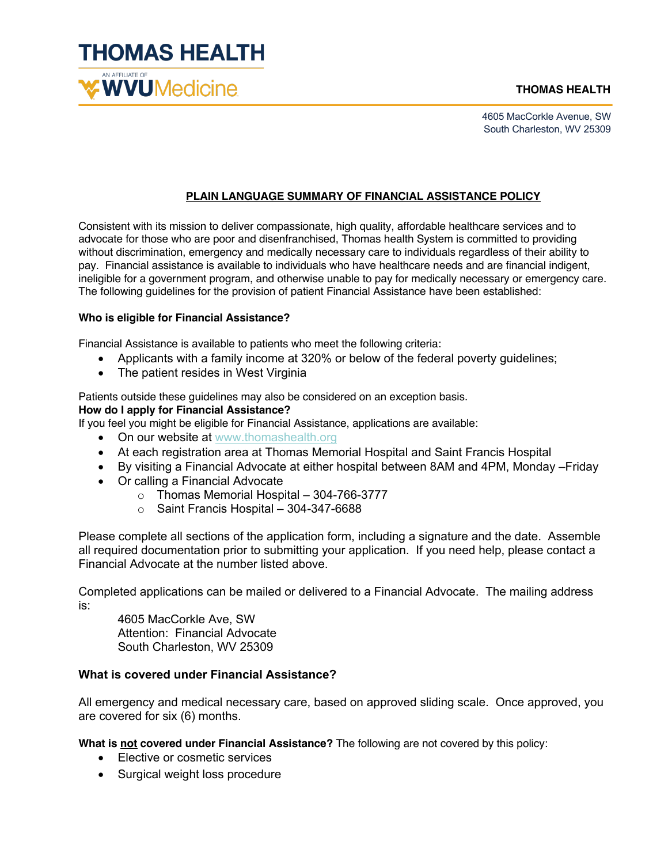

4605 MacCorkle Avenue, SW South Charleston, WV 25309

### **PLAIN LANGUAGE SUMMARY OF FINANCIAL ASSISTANCE POLICY**

Consistent with its mission to deliver compassionate, high quality, affordable healthcare services and to advocate for those who are poor and disenfranchised, Thomas health System is committed to providing without discrimination, emergency and medically necessary care to individuals regardless of their ability to pay. Financial assistance is available to individuals who have healthcare needs and are financial indigent, ineligible for a government program, and otherwise unable to pay for medically necessary or emergency care. The following guidelines for the provision of patient Financial Assistance have been established:

#### **Who is eligible for Financial Assistance?**

Financial Assistance is available to patients who meet the following criteria:

- Applicants with a family income at 320% or below of the federal poverty guidelines;
- The patient resides in West Virginia

Patients outside these guidelines may also be considered on an exception basis.

#### **How do I apply for Financial Assistance?**

If you feel you might be eligible for Financial Assistance, applications are available:

- On our website at www.thomashealth.org
- At each registration area at Thomas Memorial Hospital and Saint Francis Hospital
- By visiting a Financial Advocate at either hospital between 8AM and 4PM, Monday –Friday
- Or calling a Financial Advocate
	- o Thomas Memorial Hospital 304-766-3777
	- o Saint Francis Hospital 304-347-6688

Please complete all sections of the application form, including a signature and the date. Assemble all required documentation prior to submitting your application. If you need help, please contact a Financial Advocate at the number listed above.

Completed applications can be mailed or delivered to a Financial Advocate. The mailing address is:

4605 MacCorkle Ave, SW Attention: Financial Advocate South Charleston, WV 25309

## **What is covered under Financial Assistance?**

All emergency and medical necessary care, based on approved sliding scale. Once approved, you are covered for six (6) months.

**What is not covered under Financial Assistance?** The following are not covered by this policy:

- Elective or cosmetic services
- Surgical weight loss procedure